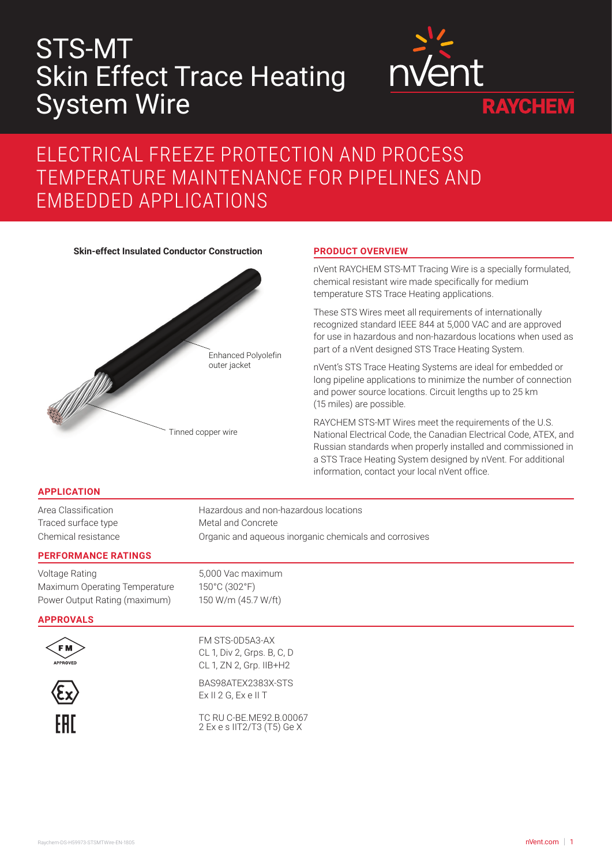# STS-MT Skin Effect Trace Heating System Wire



## ELECTRICAL FREEZE PROTECTION AND PROCESS TEMPERATURE MAINTENANCE FOR PIPELINES AND EMBEDDED APPLICATIONS

**Skin-effect Insulated Conductor Construction PRODUCT OVERVIEW**



nVent RAYCHEM STS-MT Tracing Wire is a specially formulated, chemical resistant wire made specifically for medium temperature STS Trace Heating applications.

These STS Wires meet all requirements of internationally recognized standard IEEE 844 at 5,000 VAC and are approved for use in hazardous and non-hazardous locations when used as part of a nVent designed STS Trace Heating System.

nVent's STS Trace Heating Systems are ideal for embedded or long pipeline applications to minimize the number of connection and power source locations. Circuit lengths up to 25 km (15 miles) are possible.

RAYCHEM STS-MT Wires meet the requirements of the U.S. National Electrical Code, the Canadian Electrical Code, ATEX, and Russian standards when properly installed and commissioned in a STS Trace Heating System designed by nVent. For additional information, contact your local nVent office.

### **APPLICATION**

Area Classification **Hazardous and non-hazardous locations** Traced surface type Metal and Concrete Chemical resistance Organic and aqueous inorganic chemicals and corrosives

#### **PERFORMANCE RATINGS**

Voltage Rating 5,000 Vac maximum Maximum Operating Temperature 150°C (302°F) Power Output Rating (maximum) 150 W/m (45.7 W/ft)

#### **APPROVALS**



FM STS-0D5A3-AX CL 1, Div 2, Grps. B, C, D CL 1, ZN 2, Grp. IIB+H2



BAS98ATEX2383X-STS Ex II 2 G, Ex e II T

TC RU C-BE.ME92.B.00067 2 Ex e s IIT2/T3 (T5) Ge X